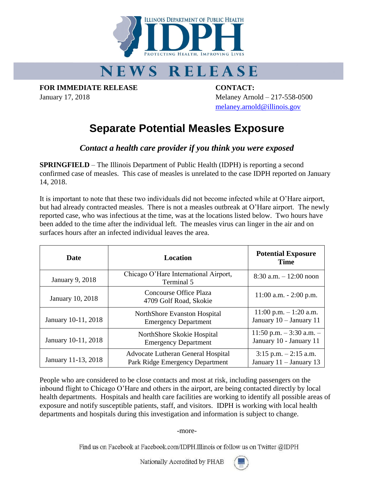

## **NEWS RELEASE**

**FOR IMMEDIATE RELEASE CONTACT:**

January 17, 2018 Melaney Arnold – 217-558-0500 [melaney.arnold@illinois.gov](mailto:melaney.arnold@illinois.gov)

## **Separate Potential Measles Exposure**

*Contact a health care provider if you think you were exposed*

**SPRINGFIELD** – The Illinois Department of Public Health (IDPH) is reporting a second confirmed case of measles. This case of measles is unrelated to the case IDPH reported on January 14, 2018.

It is important to note that these two individuals did not become infected while at O'Hare airport, but had already contracted measles. There is not a measles outbreak at O'Hare airport. The newly reported case, who was infectious at the time, was at the locations listed below. Two hours have been added to the time after the individual left. The measles virus can linger in the air and on surfaces hours after an infected individual leaves the area.

| <b>Date</b>             | Location                                                                     | <b>Potential Exposure</b><br><b>Time</b>               |
|-------------------------|------------------------------------------------------------------------------|--------------------------------------------------------|
| January 9, 2018         | Chicago O'Hare International Airport,<br>Terminal 5                          | $8:30$ a.m. $-12:00$ noon                              |
| <b>January 10, 2018</b> | Concourse Office Plaza<br>4709 Golf Road, Skokie                             | $11:00$ a.m. $-2:00$ p.m.                              |
| January 10-11, 2018     | NorthShore Evanston Hospital<br><b>Emergency Department</b>                  | $11:00$ p.m. $-1:20$ a.m.<br>January 10 - January 11   |
| January 10-11, 2018     | NorthShore Skokie Hospital<br><b>Emergency Department</b>                    | 11:50 p.m. $-3:30$ a.m. $-$<br>January 10 - January 11 |
| January 11-13, 2018     | <b>Advocate Lutheran General Hospital</b><br>Park Ridge Emergency Department | $3:15$ p.m. $-2:15$ a.m.<br>January $11 -$ January 13  |

People who are considered to be close contacts and most at risk, including passengers on the inbound flight to Chicago O'Hare and others in the airport, are being contacted directly by local health departments. Hospitals and health care facilities are working to identify all possible areas of exposure and notify susceptible patients, staff, and visitors. IDPH is working with local health departments and hospitals during this investigation and information is subject to change.

-more-

Find us on Facebook at Facebook.com/IDPH.Illinois or follow us on Twitter @IDPH

Nationally Accredited by PHAB